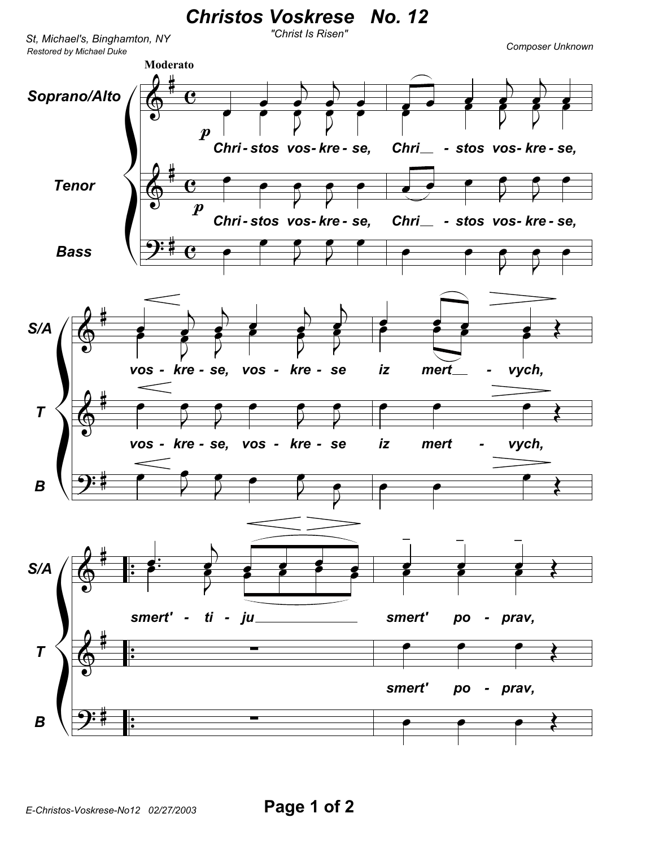